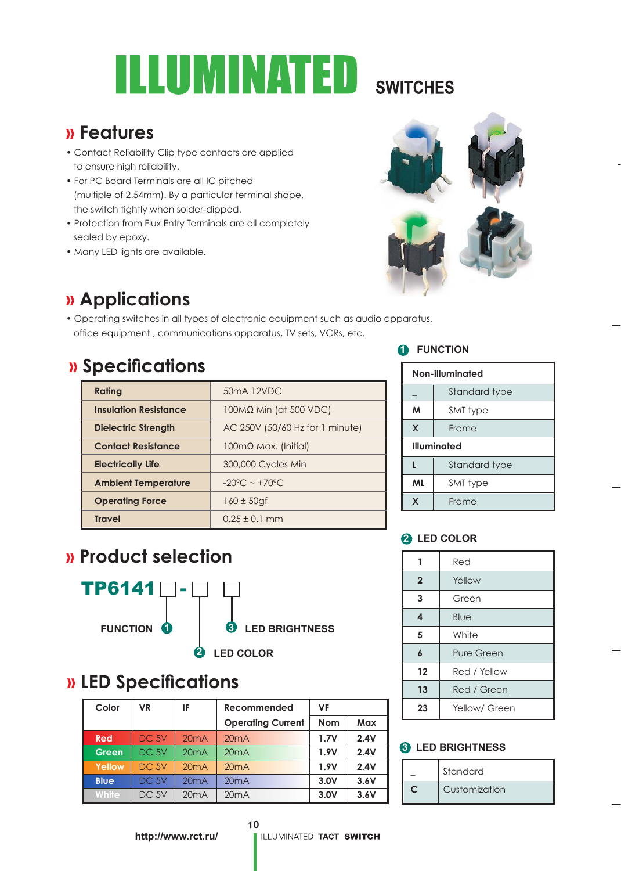# UMINATED **SWITCHES**

### **» Features**

- Contact Reliability Clip type contacts are applied to ensure high reliability.
- For PC Board Terminals are all IC pitched (multiple of 2.54mm). By a particular terminal shape, the switch tightly when solder-dipped.
- Protection from Flux Entry Terminals are all completely sealed by epoxy.
- Many LED lights are available.



## **» Applications**

• Operating switches in all types of electronic equipment such as audio apparatus, office equipment, communications apparatus, TV sets, VCRs, etc.

### **» Specifi cations**

| Rating                       | 50mA 12VDC                         |
|------------------------------|------------------------------------|
| <b>Insulation Resistance</b> | $100M\Omega$ Min (at 500 VDC)      |
| Dielectric Strength          | AC 250V (50/60 Hz for 1 minute)    |
| <b>Contact Resistance</b>    | $100 \text{mA}$ Max. (Initial)     |
| <b>Electrically Life</b>     | 300,000 Cycles Min                 |
| <b>Ambient Temperature</b>   | $-20^{\circ}$ C ~ +70 $^{\circ}$ C |
| <b>Operating Force</b>       | $160 \pm 50$ gf                    |
| <b>Travel</b>                | $0.25 \pm 0.1$ mm                  |

#### **1** FUNCTION

| Non-illuminated    |               |  |  |  |  |
|--------------------|---------------|--|--|--|--|
|                    | Standard type |  |  |  |  |
| M                  | SMT type      |  |  |  |  |
| X                  | Frame         |  |  |  |  |
| <b>Illuminated</b> |               |  |  |  |  |
|                    | Standard type |  |  |  |  |
| ML                 | SMT type      |  |  |  |  |
| X                  | Frame         |  |  |  |  |

#### **2 LED COLOR**

|                | Red           |  |  |
|----------------|---------------|--|--|
| $\overline{2}$ | Yellow        |  |  |
| 3              | Green         |  |  |
| 4              | Blue          |  |  |
| 5              | White         |  |  |
| 6              | Pure Green    |  |  |
| 12             | Red / Yellow  |  |  |
| 13             | Red / Green   |  |  |
| 23             | Yellow/ Green |  |  |

#### **8** LED BRIGHTNESS

| Standard      |
|---------------|
| Customization |

### **» Product selection**



### **» LED Specifi cations**

| Color        | <b>VR</b>        | IF   | Recommended              | VF         |      |
|--------------|------------------|------|--------------------------|------------|------|
|              |                  |      | <b>Operating Current</b> | <b>Nom</b> | Max  |
| Red          | DC.5V            | 20mA | 20mA                     | 1.7V       | 2.4V |
| Green        | DC <sub>5V</sub> | 20mA | 20mA                     | 1.9V       | 2.4V |
| Yellow       | DC 5V            | 20mA | 20mA                     | 1.9V       | 2.4V |
| <b>Blue</b>  | DC <sub>5V</sub> | 20mA | 20mA                     | 3.0V       | 3.6V |
| <b>White</b> | DC <sub>5V</sub> | 20mA | 20mA                     | 3.0V       | 3.6V |

10

**http://www.rct.ru/**